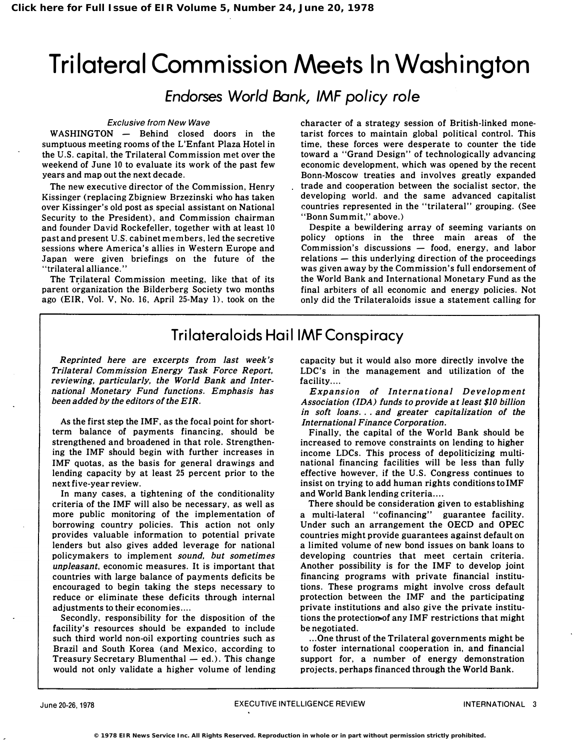# Trilateral Commission Meets In Washington

Endorses World Bank, IMF policy role

#### Exclusive from New Wave

WASHINGTON - Behind closed doors in the sumptuous meeting rooms of the L'Enfant Plaza Hotel in the U.S. capital, the Trilateral Commission met over the weekend of June 10 to evaluate its work of the past few years and map out the next decade.

The new executive director of the Commission, Henry Kissinger (replacing Zbigniew Brzezinski who has taken over Kissinger's old post as special assistant on National Security to the President), and Commission chairman and founder David Rockefeller, together with at least 10 past and present U.S. cabinet members, led the secretive sessions where America's allies in Western Europe and Japan were given briefings on the future of the "trilateral alliance."

The Trilateral Commission meeting, like that of its parent organization the Bilderberg Society two months ago (EIR, Vol. V, No. 16, April 25-May 1), took on the

character of a strategy session of British-linked monetarist forces to maintain global political control. This time, these forces were desperate to counter the tide toward a "Grand Design" of technologically advancing economic development, which was opened by the recent Bonn-Moscow treaties and involves greatly expanded trade and cooperation between the socialist sector, the developing world. and the same advanced capitalist countries represented in the "trilateral" grouping. (See "Bonn Summit," above.)

Despite a bewildering array of seeming variants on policy options in the three main areas of the Commission's discussions  $-$  food, energy, and labor  $relations$  - this underlying direction of the proceedings was given away by the Commission's full endorsement of the World Bank and International Monetary Fund as the final arbiters of all economic and energy policies. Not only did the Trilateraloids issue a statement calling for

# Trilateraloids HaillMF Conspiracy

Reprinted here are excerpts from last week's Trilateral Commission Energy Task Force Report. reviewing, particularly, the World Bank and International Monetary Fund functions. Emphasis has been added by the editors of the EIR.

As the first step the IMF. as the focal point for shortterm balance of payments financing, should be strengthened and broadened in that role. Strengthening the IMF should begin with further increases in IMF quotas, as the basis for general drawings and lending capacity by at least 25 percent prior to the next five-year review.

In many cases, a tightening of the conditionality criteria of the IMF will also be necessary, as well as more public monitoring of the implementation of borrowing country policies. This action not only provides valuable information to potential private lenders but also gives added leverage for national policymakers to implement sound. but sometimes unpleasant, economic measures. It is important that countries with large balance of payments deficits be encouraged to begin taking the steps necessary to reduce or eliminate these deficits through internal adjustments to their economies ....

Secondly, responsibility for the disposition of the facility's resources should be expanded to include such third world non-oil exporting countries such as Brazil and South Korea (and Mexico, according to Treasury Secretary Blumenthal  $-$  ed.). This change would not only validate a higher volume of lending capacity but it would also more directly involve the LDC's in the management and utilization of the facility....

Expansion of International Development Association (IDA) funds to provide at least \$10 billion in soft loans... and greater capitalization of the International Finance Corporation.

Finally, the capital of the World Bank should be increased to remove constraints on lending to higher income LDCs. This process of depoliticizing multinational financing facilities will be less than fully effective however, if the U.S. Congress continues to insist on trying to add human rights conditionsto IMF and World Bank lending criteria ....

There should be consideration given to establishing a multi-lateral "cofinancing" guarantee facility. Under such an arrangement the OECD and OPEC countries might provide guarantees against default on a limited volume of new bond issues on bank loans to developing countries that meet certain criteria. Another possibility is for the IMF to develop joint financing programs with private financial institutions. These programs might involve cross default protection between the IMF and the participating private institutions and also give the private institutions the protectionoof any IMF restrictions that might be negotiated.

... One thrust of the Trilateral governments might be to foster international cooperation in, and financial support for, a number of energy demonstration projects, perhaps financed through the World Bank.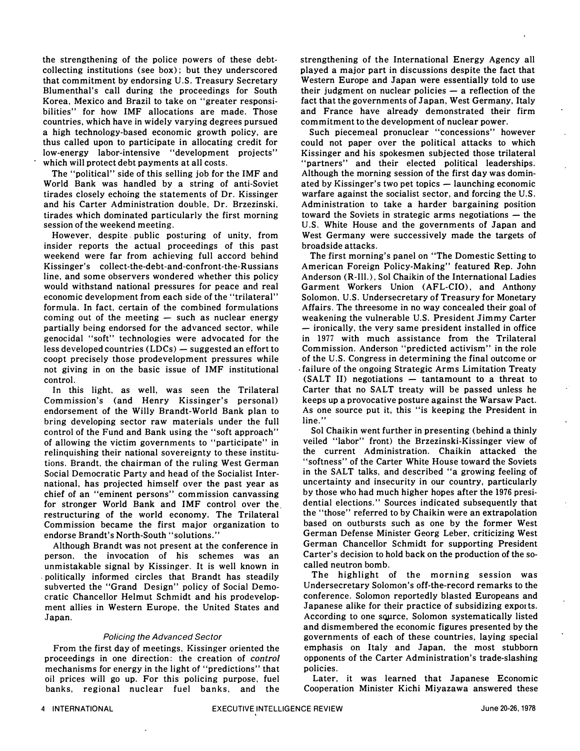the strengthening of the police powers of these debtcollecting institutions (see box); but they underscored that commitment by endorsing U.S. Treasury Secretary Blumenthal's call during the proceedings for South Korea, Mexico and Brazil to take on "greater responsibilities" for how IMF allocations are made. Those countries, which have in widely varying degrees pursued a high technology-based economic growth policy, are thus called upon to participate in allocating credit for low-energy labor-intensive "development projects" which will protect debt payments at all costs.

The "political" side of this selling job for the IMF and World Bank was handled by a string of anti-Soviet tirades closely echoing the statements of Dr. Kissinger and his Carter Administration double. Dr. Brzezinski. tirades which dominated particularly the first morning session of the weekend meeting.

However, despite. public posturing of unity, from insider reports the actual proceedings of this past weekend were far from achieving full accord behind Kissinger's collect-the-debt-and-confront-the-Russians line, and some observers wondered whether this policy would withstand national pressures for peace and real economic development from each side of the "trilateral" formula. In fact, certain of the combined formulations coming out of the meeting  $-$  such as nuclear energy partially being endorsed for the advanced sector, while genocidal "soft" technologies were advocated for the less developed countries  $(LDCs)$  - suggested an effort to coopt precisely those prodevelopment pressures while not giving in on the basic issue of IMF institutional control.

In this light, as well, was seen the Trilateral Commission's (and Henry Kissinger's personal) endorsement of the Willy Brandt-World Bank plan to bring developing sector raw materials under the full control of the Fund and Bank using the "soft approach" of allowing the victim governments to "participate" in relinquishing their national sovereignty to these institutions. Brandt, the chairman of the ruling West German Social Democratic Party and head of the Socialist International, has projected himself over the past year as chief of an "eminent persons" commission canvassing for stronger World Bank and IMF control over the restructuring of the world economy. The Trilateral Commission became the first major organization to endorse Brandt's North-South "solutions."

Although Brandt was not present at the conference in person. the invocation of his schemes was an unmistakable signal by Kissinger. It is well known in politically informed circles that Brandt has steadily subverted the "Grand Design" policy of Social Democratic Chancellor Helmut Schmidt and his prodevelopment allies in Western Europe, the United States and Japan.

#### Policing the Advanced Sector

From the first day of meetings, Kissinger oriented the proceedings in one direction: the creation of control mechanisms for energy in the light of "predictions" that oil prices will go up. For this policing purpose. fuel banks, regional nuclear fuel banks, and the

strengthening of the International Energy Agency all played a major part in discussions despite the fact that Western Europe and Japan were essentially told to use their judgment on nuclear policies  $-$  a reflection of the fact that the governments of Japan, West Germany, Italy and France have already demonstrated their firm commitment to the development of nuclear power.

Such piecemeal pronuclear "concessions" however could not paper over the political attacks to which Kissinger and his spokesmen subjected those trilateral "partners" and their elected political leaderships: Although the morning session of the first day was dominated by Kissinger's two pet topics  $-$  launching economic warfare against the socialist sector, and forcing the U.S. Administration to take a harder bargaining position toward the Soviets in strategic arms negotiations  $-$  the U.S. White House and the governments of Japan and West Germany were successively made the targets of broadside attacks.

The first morning's panel on "The Domestic Setting to American Foreign Policy-Making" featured Rep. John Anderson (R-Ill.), Sol Chaikin of the International Ladies Garment Workers Union (AFL-CIO), and Anthony Solomon, U.S. Undersecretary of Treasury for Monetary Affairs. The threesome in no way concealed their goal of weakening the vulnerable U.S. President Jimmy Carter - ironically, the very same president installed in office in 1977 with much assistance from the Trilateral Commission. Anderson "predicted activism" in the role of the U.S. Congress in determining the final outcome or failure of the ongoing Strategic Arms Limitation Treaty  $(SALT II)$  negotiations  $-$  tantamount to a threat to Carter that no SALT treaty will be passed unless he keeps up a provocative posture against the Warsaw Pact. As one source put it, this "is keeping the President in line."

Sol Chaikin went further in presenting (behind a thinly veiled "labor" front) the Brzezinski-Kissinger view of the current Administration. Chaikin attacked the "softness" of the Carter White House toward the Soviets in the SALT talks, and described "a growing feeling of uncertainty and insecurity in our country, particularly by those who had much higher hopes after the 1976 presidential elections." Sources indicated subsequently that the "those" referred to by Chaikin were an extrapolation based on outbursts such as one by the former West German Defense Minister Georg Leber, criticizing West German Chancellor Schmidt for supporting President Carter's decision to hold back on the production of the socalled neutron bomb.

The highlight of the morning session was Undersecretary Solomon's off-the-record remarks to the conference. Solomon reportedly blasted Europeans and Japanese alike for their practice of subsidizing exports. According to one source, Solomon systematically listed and dismembered the economic figures presented by the governments of each of these countries, laying special emphasis on Italy and Japan, the most stubborn opponents of the Carter Administration's trade-slashing policies.

Later, it was learned that Japanese Economic Cooperation Minister Kichi Miyazawa answered these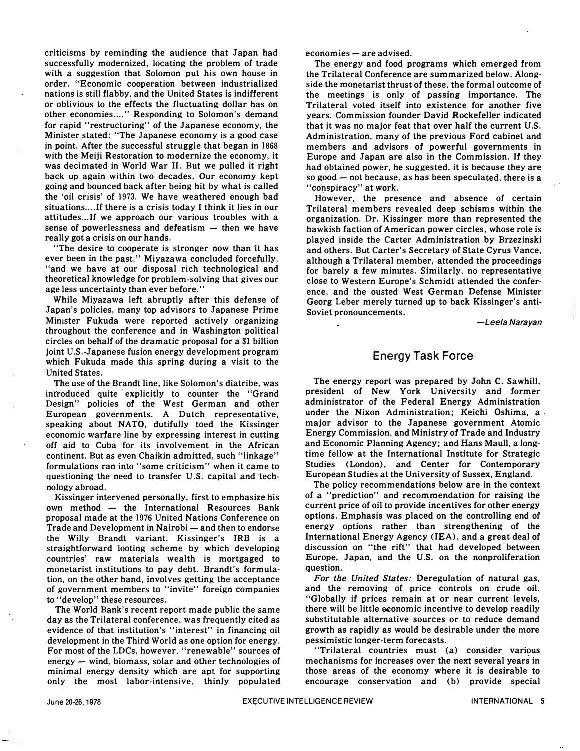criticisms by reminding the audience that Japan had successfully modernized, locating the problem of trade with a suggestion that Solomon put his own house in order. "Economic cooperation between industrialized nations is still flabby, and the United States is indifferent or oblivious to the effects the fluctuating dollar has on other economies...." Responding to Solomon's demand for rapid "restructuring" of the Japanese economy, the Minister stated: "The Japanese economy is a good case in point. After the successful struggle that began in 1868 with the Meiji Restoration to modernize the economy, it was decimated in World War II. But we pulled it right back up again within two decades. Our economy kept going and bounced back after being hit by what is called the 'oil crisis' of 1973. We have weathered enough bad situations.... If there is a crisis today I think it lies in our attitudes... If we approach our various troubles with a sense of powerlessness and defeatism  $-$  then we have really got a crisis on our hands.

"The desire to cooperate is stronger now than it has ever been in the past," Miyazawa concluded forcefully, "and we have at our disposal rich technological and theoretical knowledge for problem-solving that gives our age less uncertainty than ever before."

While Miyazawa left abruptly after this defense of Japan's policies, many top advisors to Japanese Prime Minister Fukuda were reported actively organizing throughout the conference and in Washington political circles on behalf of the dramatic proposal for a \$1 billion joint U.S.-Japanese fusion energy development program which Fukuda made this spring during a visit to the United States.

The use of the Brandt line, like Solomon's diatribe, was introduced quite explicitly to counter the "Grand Design" policies of the West German and other European governments. A Dutch representative, speaking about NATO, dutifully toed the Kissinger economic warfare line by expressing interest in cutting off aid to Cuba for its involvement in the African continent. But as even Chaikin admitted, such "linkage" formulations ran into "some criticism" when it came to questioning the need to transfer U.S. capital and technology abroad.

Kissinger intervened personally, first to emphasize his  $own$  method  $-$  the International Resources Bank proposal made at the 1976 United Nations Conference on Trade and Development in Nairobi - and then to endorse the Willy Brandt variant. Kissinger's IRB is a straightforward looting scheme by which developing countries' raw materials wealth is mortgaged to monetarist institutions to pay debt. Brandt's formulation. on the other hand, involves getting the acceptance of government members to "invite" foreign companies to "develop" these resources.

The World Bank's recent report made public the same day as the Trilateral conference, was frequently cited as evidence of that institution's "interest" in financing oil development in the Third World as one option for energy. For most of the LDCs, however. "renewable" sources of  $energy - wind$ , biomass, solar and other technologies of minimal energy density which are apt for supporting only the most labor-intensive. thinly populated  $e$ conomies  $-$  are advised.

The energy and food programs which emerged from the Trilateral Conference are summarized below. Alongside the monetarist thrust of these, the formal outcome of the meetings is only of passing importance. The Trilateral voted itself into existence for another five years. Commission founder David Rockefeller indicated that it was no major feat that over half the current U.S. Administration, many of the previous Ford cabinet and members and advisors of powerful governments in Europe and Japan are also in the Commission. If they had obtained power, he suggested, it is because they are so good  $-$  not because, as has been speculated, there is a "conspiracy" at work.

However. the presence and absence of certain Trilateral members revealed deep schisms within the organization. Dr. Kissinger more than represented the hawkish faction of American power circles, whose role is played inside the Carter Administration by Brzezinski and others. But Carter's Secretary of State Cyrus Vance, although a Trilateral member, attended the proceedings for barely a few minutes. Similarly, no representative close to Western Europe's Schmidt attended the conference, and the ousted West German Defense Minister Georg Leber merely turned up to back Kissinger's anti-Soviet pronouncements.

-Leela Narayan

### Energy Task Force

The energy report was prepared by John C. Sawhill, president of New York University and former administrator of the Federal Energy Administration under the Nixon Administration; Keichi Oshima, a· major advisor to the Japanese government Atomic Energy Commission, and Ministry of Trade and Industry and Economic Planning Agency; and Hans Maull, a longtime fellow at the International Institute for Strategic Studies (London), and Center for Contemporary European Studies at the University of Sussex, England.

The policy recommendations below are in the context of a "prediction" and recommendation for raising the current price of oil to provide incentives for other energy options. Emphasis was placed on the controlling end of energy options rather than strengthening of the International Energy Agency (lEA), and a great deal of discussion on "the rift" that had developed between Europe, Japan, and the U.S. on the nonproliferation question.

For the United States: Deregulation of natural gas, and the removing of price controls on crude oil. "Globally if prices remain at or near current levels, there will be little economic incentive to develop readily substitutable alternative sources or to reduce demand growth as rapidly as would be desirable under the more pessimistic longer-term forecasts.

"Trilateral countries must (a) consider various mechanisms for increases over the next several years in those areas of the economy where it is desirable to encourage conservation and (b) provide special